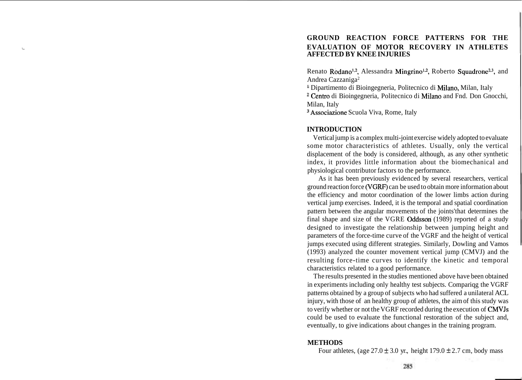## **GROUND REACTION FORCE PATTERNS FOR THE i EVALUATION OF MOTOR RECOVERY IN ATHLETES AFFECTED BY KNEE INJURIES**

Renato Rodano<sup>1,2</sup>, Alessandra Mingrino<sup>1,2</sup>, Roberto Squadrone<sup>2,3</sup>, and Andrea Cazzaniga2

Dipartimento di Bioingegneria, Politecnico di Milano, Milan, Italy

<sup>a</sup> Centro di Bioingegneria, Politecnico di Milano and Fnd. Don Gnocchi, Milan, Italy

<sup>3</sup> Associazione Scuola Viva, Rome, Italy

## **INTRODUCTION**

Vertical jump is a complex multi-joint exercise widely adopted to evaluate some motor characteristics of athletes. Usually, only the vertical displacement of the body is considered, although, as any other synthetic index, it provides little information about the biomechanical and physiological contributor factors to the performance.

As it has been previously evidenced by several researchers, vertical ground reaction force (VGRF) can be used to obtain more information about the efficiency and motor coordination of the lower limbs action during vertical jump exercises. Indeed, it is the temporal and spatial coordination pattern between the angular movements of the joints'that determines the final shape and size of the VGRE Oddsson (1989) reported of a study designed to investigate the relationship between jumping height and parameters of the force-time curve of the VGRF and the height of vertical jumps executed using different strategies. Similarly, Dowling and Vamos (1993) analyzed the counter movement vertical jump (CMVJ) and the resulting force-time curves to identify the kinetic and temporal characteristics related to a good performance.

The results presented in the studies mentioned above have been obtained in experiments including only healthy test subjects. Compariqg the VGRF patterns obtained by a group of subjects who had suffered a unilateral ACL injury, with those of an healthy group of athletes, the aim of this study was to verify whether or not the VGRF recorded during the execution of CMVJs could be used to evaluate the functional restoration of the subject and, eventually, to give indications about changes in the training program.

#### **METHODS**

Four athletes, (age  $27.0 \pm 3.0$  yr., height  $179.0 \pm 2.7$  cm, body mass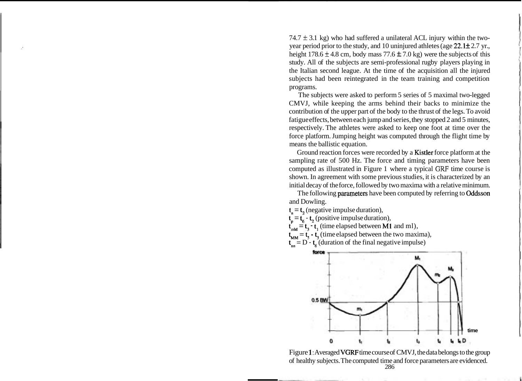74.7  $\pm$  3.1 kg) who had suffered a unilateral ACL injury within the twoyear period prior to the study, and 10 uninjured athletes (age  $22.1 \pm 2.7$  yr., height 178.6  $\pm$  4.8 cm, body mass 77.6  $\pm$  7.0 kg) were the subjects of this study. All of the subjects are semi-professional rugby players playing in the Italian second league. At the time of the acquisition all the injured subjects had been reintegrated in the team training and competition programs.

The subjects were asked to perform 5 series of 5 maximal two-legged CMVJ, while keeping the arms behind their backs to minimize the contribution of the upper part of the body to the thrust of the legs. To avoid fatigue effects, between each jump and series, they stopped 2 and 5 minutes, respectively. The athletes were asked to keep one foot at time over the force platform. Jumping height was computed through the flight time by means the ballistic equation.

Ground reaction forces were recorded by a Kistler force platform at the sampling rate of 500 Hz. The force and timing parameters have been computed as illustrated in Figure 1 where a typical **GRF** time course is shown. In agreement with some previous studies, it is characterized by an initial decay of the force, followed by two maxima with a relative minimum.

The following **parameters** have been computed by referring to **Oddsson** and Dowling.

 $t<sub>n</sub> = t<sub>2</sub>$  (negative impulse duration),  $t<sub>p</sub> = t<sub>6</sub> - t<sub>2</sub>$  (positive impulse duration),  $t_{\text{max}} = t_3 - t_1$  (time elapsed between M1 and ml),  $t_{MM} = t_s - t_3$  (time elapsed between the two maxima),  $t_{nn} = D - t_6$  (duration of the final negative impulse)



Figure **1:** Averaged VGRF time course of CMVJ, the data belongs to the group of healthy subjects. The computed time and force parameters are evidenced. 286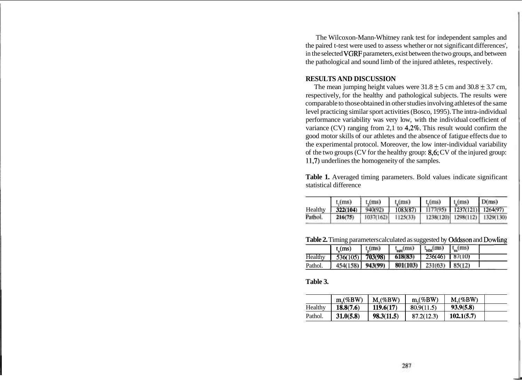The Wilcoxon-Mann-Whitney rank test for independent samples and the paired t-test were used to assess whether or not significant differences', in the selected VGRF parameters, exist between the two groups, and between the pathological and sound limb of the injured athletes, respectively.

## **RESULTS AND DISCUSSION**

The mean jumping height values were  $31.8 \pm 5$  cm and  $30.8 \pm 3.7$  cm, respectively, for the healthy and pathological subjects. The results were comparable to those obtained in other studies involving athletes of the same level practicing similar sport activities (Bosco, 1995). The intra-individual performance variability was very low, with the individual coefficient of variance (CV) ranging from 2,1 to 4,2%. This result would confirm the good motor skills of our athletes and the absence of fatigue effects due to the experimental protocol. Moreover, the low inter-individual variability of the two groups (CV for the healthy group: 8,6; CV of the injured group: 11,7) underlines the homogeneity of the samples.

| Table 1. Averaged timing parameters. Bold values indicate significant |  |  |  |
|-----------------------------------------------------------------------|--|--|--|
| statistical difference                                                |  |  |  |

|         | $t$ , (ms) | $t$ , $(ms)$ | $t,$ (ms) | $t_c$ (ms) | $t_{\rm c}$ (ms)     | D(ms)               |
|---------|------------|--------------|-----------|------------|----------------------|---------------------|
| Healthy | 322(104)   | 940(92)      | 1083(87)  | 1177(95)   | 1237(121)   1264(97) |                     |
| Pathol. | 216(75)    | 1037(162)    | 1125(33)  | 1238(120)  |                      | 1298(112) 1329(130) |

**Table 2.** Timing parameters calculated as suggested by Oddsson and Dowling

|         | $t_{s}(ms)$ | t (ms)  | $t_{\rm rad}$ (ms) | $t_{\rm{MS}}$ (ms) | $\cup_{m}$ (ms) |  |
|---------|-------------|---------|--------------------|--------------------|-----------------|--|
| Healthy | 536(105)    | 703(98) | 618(83)            | 236(46)            | 87(10)          |  |
| Pathol. | 454(158)    | 943(99) | 801(103)           | 231(63)            | 85(12)          |  |

### **Table 3.**

|         | $m(\%BW)$ | $M($ %BW)  | $m(\%BW)$  | $M($ %BW)  |  |
|---------|-----------|------------|------------|------------|--|
| Healthy | 18.8(7.6) | 119.6(17)  | 80.9(11.5) | 93.9(5.8)  |  |
| Pathol. | 31.0(5.8) | 98.3(11.5) | 87.2(12.3) | 102.1(5.7) |  |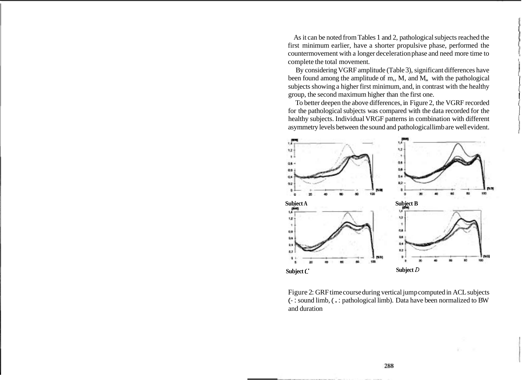As it can be noted from Tables 1 and 2, pathological subjects reached the first minimum earlier, have a shorter propulsive phase, performed the countermovement with a longer deceleration phase and need more time to complete the total movement.

By considering VGRF amplitude (Table 3), significant differences have been found among the amplitude of m,, M, and M,, with the pathological subjects showing a higher first minimum, and, in contrast with the healthy group, the second maximum higher than the first one.

To better deepen the above differences, in Figure 2, the VGRF recorded for the pathological subjects was compared with the data recorded for the healthy subjects. Individual VRGF patterns in combination with different asymmetry levels between the sound and pathological limb are well evident.



Figure 2: GRF time course during vertical jump computed in ACL subjects (- : sound limb, ( . : pathological limb). Data have been normalized to BW and duration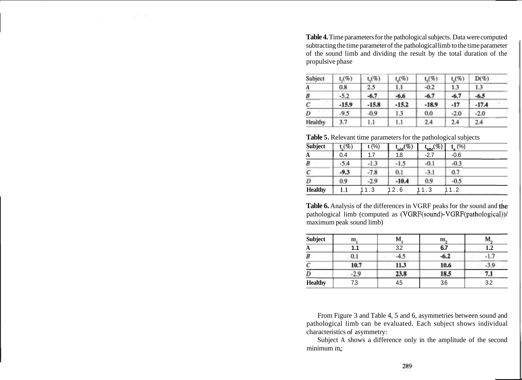**Table 4.** Time parameters for the pathological subjects. Data were computed subtracting the time parameter of the pathological limb to the time parameter of the sound limb and dividing the result by the total duration of the propulsive phase

| Subject | $_{1(9)}$ | $t_1(\%)$ | $t_{4}$ (%) | t(%)    | $t_c$ (%) | $D(\%)$ |
|---------|-----------|-----------|-------------|---------|-----------|---------|
| A       | 0.8       | 2.5       | 1.1         | $-0.2$  | 1.3       | 1.3     |
| B       | $-5.2$    | $-6.7$    | -6.6        | $-6.7$  | $-6.7$    | $-6.5$  |
| С       | $-15.9$   | $-15.8$   | $-15.2$     | $-18.9$ | $-17$     | $-17.4$ |
| D       | $-9.5$    | $-0.9$    | 1.3         | 0.0     | $-2.0$    | $-2.0$  |
| Healthy | 3.7       | 1.1       | 1.1         | 2.4     | 2.4       | 2.4     |

**Table 5.** Relevant time parameters for the pathological subjects

| <b>Subject</b> | $\mathfrak{t}^{\;}_\mathfrak{n}(\%)$ | t (%)  | $\mathfrak{m}_{\mathrm{mM}}(\overline{\mathscr{C}})$ | $\mathcal{M}^{(\tilde{\mathscr{C}}_0)^{-1}}$ | (%)    |
|----------------|--------------------------------------|--------|------------------------------------------------------|----------------------------------------------|--------|
| A              | 0.4                                  | 1.7    | 1.8                                                  | $-2.7$                                       | $-0.6$ |
| B              | $-5.4$                               | -1.3   | $-1.5$                                               | $-0.1$                                       | $-0.3$ |
| С              | $-9.3$                               | $-7.8$ | 0.1                                                  | $-3.1$                                       | 0.7    |
| D              | 0.9                                  | $-2.9$ | $-10.4$                                              | 0.9                                          | $-0.5$ |
| <b>Healthy</b> | l.1                                  | 11.3   | 12.6                                                 | $\cdot$ 3                                    | 1.2    |

Table 6. Analysis of the differences in VGRF peaks for the sound and the pathological limb (computed as  $(VGRF(sound)-VGRF(pathological))$ / maximum peak sound limb)

| <b>Subject</b> | m,     | M    | Ш,     | М.  |
|----------------|--------|------|--------|-----|
| A              | 1.1    | 3.2  | 6.7    | 1.2 |
| B              | 0.1    |      | $-0.7$ |     |
| с              | 10.7   | 11.3 | 10.6   |     |
| D              | $-2.9$ | 23.8 | 18.5   | 7.1 |
| <b>Healthy</b> | 7.3    | 4.5  | 3.6    | 3.2 |

From Figure 3 and Table 4, 5 and 6, asymmetries between sound and pathological limb can be evaluated. Each subject shows individual characteristics of asymmetry:

Subject A shows a difference only in the amplitude of the second minimum m,;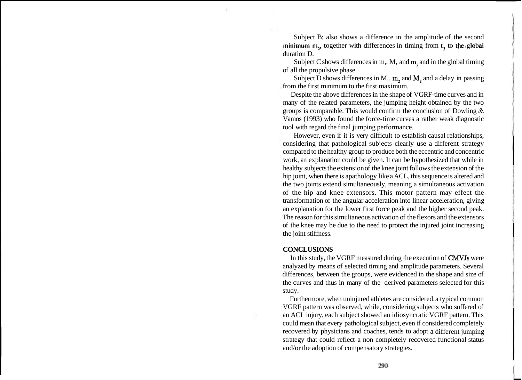Subject B: also shows a difference in the amplitude of the second minimum m<sub>2</sub>, together with differences in timing from t<sub>2</sub> to the global duration D.

Subject C shows differences in m,, M, and  $m_2$  and in the global timing of all the propulsive phase.

Subject D shows differences in M,,  $m<sub>2</sub>$  and  $M<sub>2</sub>$  and a delay in passing from the first minimum to the first maximum.

Despite the above differences in the shape of VGRF-time curves and in many of the related parameters, the jumping height obtained by the two groups is comparable. This would confirm the conclusion of Dowling & Vamos (1993) who found the force-time curves a rather weak diagnostic tool with regard the final jumping performance.

However, even if it is very difficult to establish causal relationships, considering that pathological subjects clearly use a different strategy compared to the healthy group to produce both the eccentric and concentric work, an explanation could be given. It can be hypothesized that while in healthy subjects the extension of the knee joint follows the extension of the hip joint, when there is apathology like a ACL, this sequence is altered and the two joints extend simultaneously, meaning a simultaneous activation of the hip and knee extensors. This motor pattern may effect the transformation of the angular acceleration into linear acceleration, giving an explanation for the lower first force peak and the higher second peak. The reason for this simultaneous activation of the flexors and the extensors of the knee may be due to the need to protect the injured joint increasing the joint stiffness.

#### **CONCLUSIONS**

In this study, the VGRF measured during the execution of CMVJs were analyzed by means of selected timing and amplitude parameters. Several differences, between the groups, were evidenced in the shape and size of the curves and thus in many of the derived parameters selected for this study.

Furthermore, when uninjured athletes are considered, a typical common VGRF pattern was observed, while, considering subjects who suffered of an ACL injury, each subject showed an idiosyncratic VGRF pattern. This could mean that every pathological subject, even if considered completely recovered by physicians and coaches, tends to adopt a different jumping strategy that could reflect a non completely recovered functional status and/or the adoption of compensatory strategies.

290